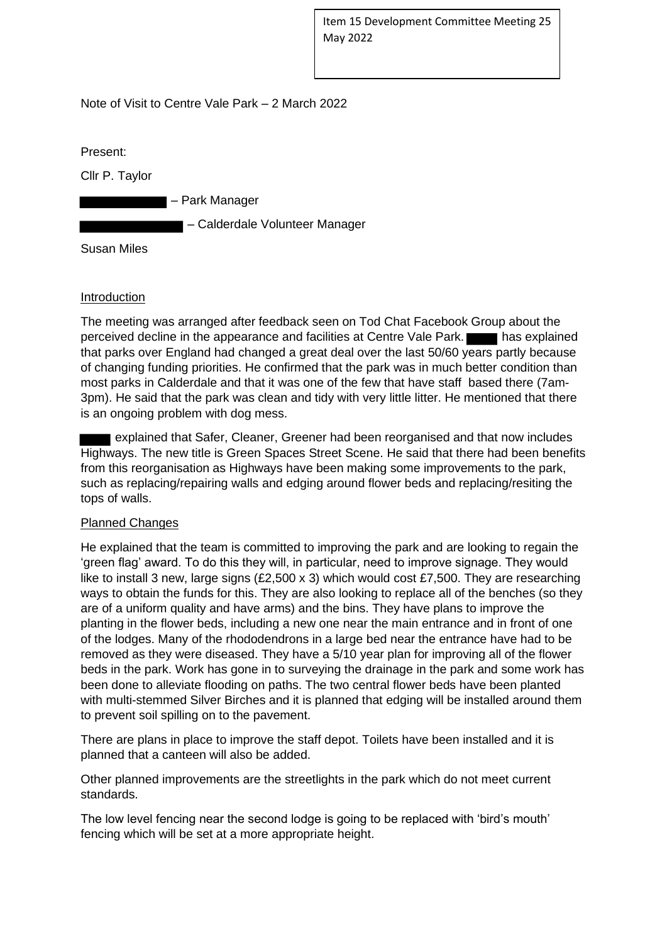Item 15 Development Committee Meeting 25 May 2022

Note of Visit to Centre Vale Park – 2 March 2022

Present:

Cllr P. Taylor

– Park Manager

– Calderdale Volunteer Manager

Susan Miles

## **Introduction**

The meeting was arranged after feedback seen on Tod Chat Facebook Group about the perceived decline in the appearance and facilities at Centre Vale Park. has explained that parks over England had changed a great deal over the last 50/60 years partly because of changing funding priorities. He confirmed that the park was in much better condition than most parks in Calderdale and that it was one of the few that have staff based there (7am-3pm). He said that the park was clean and tidy with very little litter. He mentioned that there is an ongoing problem with dog mess.

 explained that Safer, Cleaner, Greener had been reorganised and that now includes Highways. The new title is Green Spaces Street Scene. He said that there had been benefits from this reorganisation as Highways have been making some improvements to the park, such as replacing/repairing walls and edging around flower beds and replacing/resiting the tops of walls.

## Planned Changes

He explained that the team is committed to improving the park and are looking to regain the 'green flag' award. To do this they will, in particular, need to improve signage. They would like to install 3 new, large signs (£2,500 x 3) which would cost £7,500. They are researching ways to obtain the funds for this. They are also looking to replace all of the benches (so they are of a uniform quality and have arms) and the bins. They have plans to improve the planting in the flower beds, including a new one near the main entrance and in front of one of the lodges. Many of the rhododendrons in a large bed near the entrance have had to be removed as they were diseased. They have a 5/10 year plan for improving all of the flower beds in the park. Work has gone in to surveying the drainage in the park and some work has been done to alleviate flooding on paths. The two central flower beds have been planted with multi-stemmed Silver Birches and it is planned that edging will be installed around them to prevent soil spilling on to the pavement.

There are plans in place to improve the staff depot. Toilets have been installed and it is planned that a canteen will also be added.

Other planned improvements are the streetlights in the park which do not meet current standards.

The low level fencing near the second lodge is going to be replaced with 'bird's mouth' fencing which will be set at a more appropriate height.